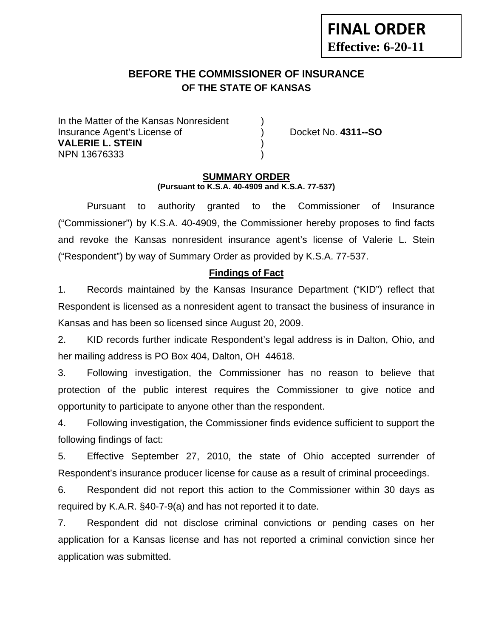# **BEFORE THE COMMISSIONER OF INSURANCE OF THE STATE OF KANSAS**

In the Matter of the Kansas Nonresident Insurance Agent's License of ) Docket No. **4311--SO VALERIE L. STEIN** ) NPN 13676333 )

**FINAL ORDER**

**Effective: 6-20-11** 

#### **SUMMARY ORDER (Pursuant to K.S.A. 40-4909 and K.S.A. 77-537)**

 Pursuant to authority granted to the Commissioner of Insurance ("Commissioner") by K.S.A. 40-4909, the Commissioner hereby proposes to find facts and revoke the Kansas nonresident insurance agent's license of Valerie L. Stein ("Respondent") by way of Summary Order as provided by K.S.A. 77-537.

### **Findings of Fact**

1. Records maintained by the Kansas Insurance Department ("KID") reflect that Respondent is licensed as a nonresident agent to transact the business of insurance in Kansas and has been so licensed since August 20, 2009.

2. KID records further indicate Respondent's legal address is in Dalton, Ohio, and her mailing address is PO Box 404, Dalton, OH 44618.

3. Following investigation, the Commissioner has no reason to believe that protection of the public interest requires the Commissioner to give notice and opportunity to participate to anyone other than the respondent.

4. Following investigation, the Commissioner finds evidence sufficient to support the following findings of fact:

5. Effective September 27, 2010, the state of Ohio accepted surrender of Respondent's insurance producer license for cause as a result of criminal proceedings.

6. Respondent did not report this action to the Commissioner within 30 days as required by K.A.R. §40-7-9(a) and has not reported it to date.

7. Respondent did not disclose criminal convictions or pending cases on her application for a Kansas license and has not reported a criminal conviction since her application was submitted.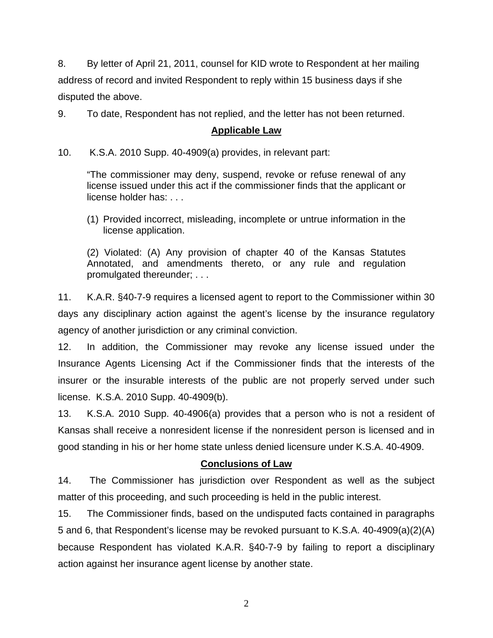8. By letter of April 21, 2011, counsel for KID wrote to Respondent at her mailing address of record and invited Respondent to reply within 15 business days if she disputed the above.

9. To date, Respondent has not replied, and the letter has not been returned.

### **Applicable Law**

10. K.S.A. 2010 Supp. 40-4909(a) provides, in relevant part:

"The commissioner may deny, suspend, revoke or refuse renewal of any license issued under this act if the commissioner finds that the applicant or license holder has: . . .

(1) Provided incorrect, misleading, incomplete or untrue information in the license application.

(2) Violated: (A) Any provision of chapter 40 of the Kansas Statutes Annotated, and amendments thereto, or any rule and regulation promulgated thereunder; . . .

11. K.A.R. §40-7-9 requires a licensed agent to report to the Commissioner within 30 days any disciplinary action against the agent's license by the insurance regulatory agency of another jurisdiction or any criminal conviction.

12. In addition, the Commissioner may revoke any license issued under the Insurance Agents Licensing Act if the Commissioner finds that the interests of the insurer or the insurable interests of the public are not properly served under such license. K.S.A. 2010 Supp. 40-4909(b).

13. K.S.A. 2010 Supp. 40-4906(a) provides that a person who is not a resident of Kansas shall receive a nonresident license if the nonresident person is licensed and in good standing in his or her home state unless denied licensure under K.S.A. 40-4909.

## **Conclusions of Law**

14. The Commissioner has jurisdiction over Respondent as well as the subject matter of this proceeding, and such proceeding is held in the public interest.

15. The Commissioner finds, based on the undisputed facts contained in paragraphs 5 and 6, that Respondent's license may be revoked pursuant to K.S.A. 40-4909(a)(2)(A) because Respondent has violated K.A.R. §40-7-9 by failing to report a disciplinary action against her insurance agent license by another state.

2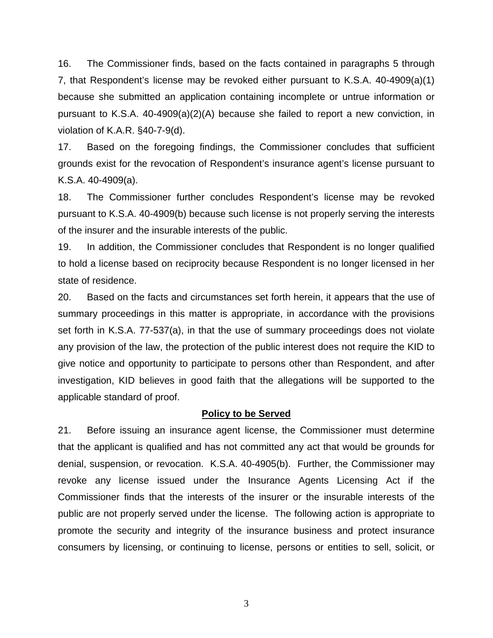16. The Commissioner finds, based on the facts contained in paragraphs 5 through 7, that Respondent's license may be revoked either pursuant to K.S.A. 40-4909(a)(1) because she submitted an application containing incomplete or untrue information or pursuant to K.S.A. 40-4909(a)(2)(A) because she failed to report a new conviction, in violation of K.A.R. §40-7-9(d).

17. Based on the foregoing findings, the Commissioner concludes that sufficient grounds exist for the revocation of Respondent's insurance agent's license pursuant to K.S.A. 40-4909(a).

18. The Commissioner further concludes Respondent's license may be revoked pursuant to K.S.A. 40-4909(b) because such license is not properly serving the interests of the insurer and the insurable interests of the public.

19. In addition, the Commissioner concludes that Respondent is no longer qualified to hold a license based on reciprocity because Respondent is no longer licensed in her state of residence.

20. Based on the facts and circumstances set forth herein, it appears that the use of summary proceedings in this matter is appropriate, in accordance with the provisions set forth in K.S.A. 77-537(a), in that the use of summary proceedings does not violate any provision of the law, the protection of the public interest does not require the KID to give notice and opportunity to participate to persons other than Respondent, and after investigation, KID believes in good faith that the allegations will be supported to the applicable standard of proof.

#### **Policy to be Served**

21. Before issuing an insurance agent license, the Commissioner must determine that the applicant is qualified and has not committed any act that would be grounds for denial, suspension, or revocation. K.S.A. 40-4905(b). Further, the Commissioner may revoke any license issued under the Insurance Agents Licensing Act if the Commissioner finds that the interests of the insurer or the insurable interests of the public are not properly served under the license. The following action is appropriate to promote the security and integrity of the insurance business and protect insurance consumers by licensing, or continuing to license, persons or entities to sell, solicit, or

3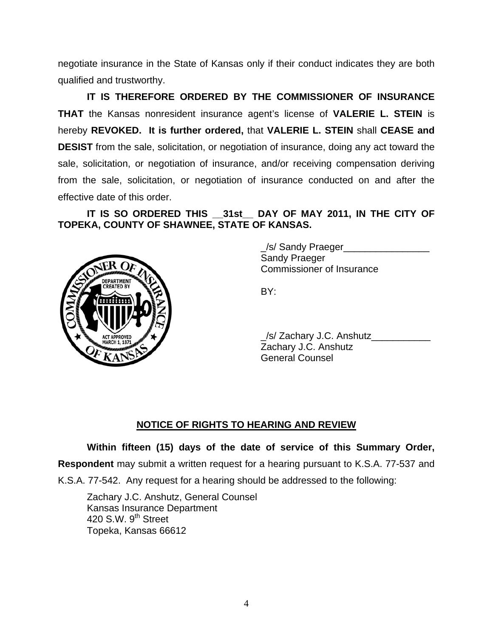negotiate insurance in the State of Kansas only if their conduct indicates they are both qualified and trustworthy.

 **IT IS THEREFORE ORDERED BY THE COMMISSIONER OF INSURANCE THAT** the Kansas nonresident insurance agent's license of **VALERIE L. STEIN** is hereby **REVOKED. It is further ordered,** that **VALERIE L. STEIN** shall **CEASE and DESIST** from the sale, solicitation, or negotiation of insurance, doing any act toward the sale, solicitation, or negotiation of insurance, and/or receiving compensation deriving from the sale, solicitation, or negotiation of insurance conducted on and after the effective date of this order.

 **IT IS SO ORDERED THIS \_\_31st\_\_ DAY OF MAY 2011, IN THE CITY OF TOPEKA, COUNTY OF SHAWNEE, STATE OF KANSAS.** 



 \_/s/ Sandy Praeger\_\_\_\_\_\_\_\_\_\_\_\_\_\_\_\_ Sandy Praeger Commissioner of Insurance

 \_/s/ Zachary J.C. Anshutz\_\_\_\_\_\_\_\_\_\_\_ Zachary J.C. Anshutz General Counsel

## **NOTICE OF RIGHTS TO HEARING AND REVIEW**

**Within fifteen (15) days of the date of service of this Summary Order,** 

**Respondent** may submit a written request for a hearing pursuant to K.S.A. 77-537 and

K.S.A. 77-542. Any request for a hearing should be addressed to the following:

 Zachary J.C. Anshutz, General Counsel Kansas Insurance Department 420 S.W. 9<sup>th</sup> Street Topeka, Kansas 66612